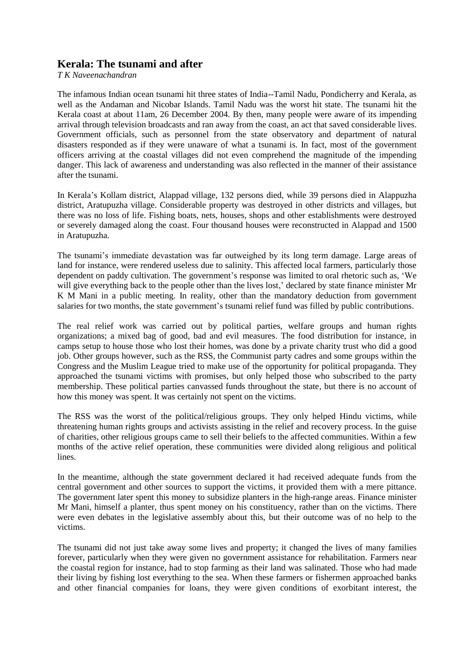## **Kerala: The tsunami and after**

*T K Naveenachandran*

The infamous Indian ocean tsunami hit three states of India--Tamil Nadu, Pondicherry and Kerala, as well as the Andaman and Nicobar Islands. Tamil Nadu was the worst hit state. The tsunami hit the Kerala coast at about 11am, 26 December 2004. By then, many people were aware of its impending arrival through television broadcasts and ran away from the coast, an act that saved considerable lives. Government officials, such as personnel from the state observatory and department of natural disasters responded as if they were unaware of what a tsunami is. In fact, most of the government officers arriving at the coastal villages did not even comprehend the magnitude of the impending danger. This lack of awareness and understanding was also reflected in the manner of their assistance after the tsunami.

In Kerala's Kollam district, Alappad village, 132 persons died, while 39 persons died in Alappuzha district, Aratupuzha village. Considerable property was destroyed in other districts and villages, but there was no loss of life. Fishing boats, nets, houses, shops and other establishments were destroyed or severely damaged along the coast. Four thousand houses were reconstructed in Alappad and 1500 in Aratupuzha.

The tsunami's immediate devastation was far outweighed by its long term damage. Large areas of land for instance, were rendered useless due to salinity. This affected local farmers, particularly those dependent on paddy cultivation. The government's response was limited to oral rhetoric such as, 'We will give everything back to the people other than the lives lost,' declared by state finance minister Mr K M Mani in a public meeting. In reality, other than the mandatory deduction from government salaries for two months, the state government's tsunami relief fund was filled by public contributions.

The real relief work was carried out by political parties, welfare groups and human rights organizations; a mixed bag of good, bad and evil measures. The food distribution for instance, in camps setup to house those who lost their homes, was done by a private charity trust who did a good job. Other groups however, such as the RSS, the Communist party cadres and some groups within the Congress and the Muslim League tried to make use of the opportunity for political propaganda. They approached the tsunami victims with promises, but only helped those who subscribed to the party membership. These political parties canvassed funds throughout the state, but there is no account of how this money was spent. It was certainly not spent on the victims.

The RSS was the worst of the political/religious groups. They only helped Hindu victims, while threatening human rights groups and activists assisting in the relief and recovery process. In the guise of charities, other religious groups came to sell their beliefs to the affected communities. Within a few months of the active relief operation, these communities were divided along religious and political lines.

In the meantime, although the state government declared it had received adequate funds from the central government and other sources to support the victims, it provided them with a mere pittance. The government later spent this money to subsidize planters in the high-range areas. Finance minister Mr Mani, himself a planter, thus spent money on his constituency, rather than on the victims. There were even debates in the legislative assembly about this, but their outcome was of no help to the victims.

The tsunami did not just take away some lives and property; it changed the lives of many families forever, particularly when they were given no government assistance for rehabilitation. Farmers near the coastal region for instance, had to stop farming as their land was salinated. Those who had made their living by fishing lost everything to the sea. When these farmers or fishermen approached banks and other financial companies for loans, they were given conditions of exorbitant interest, the